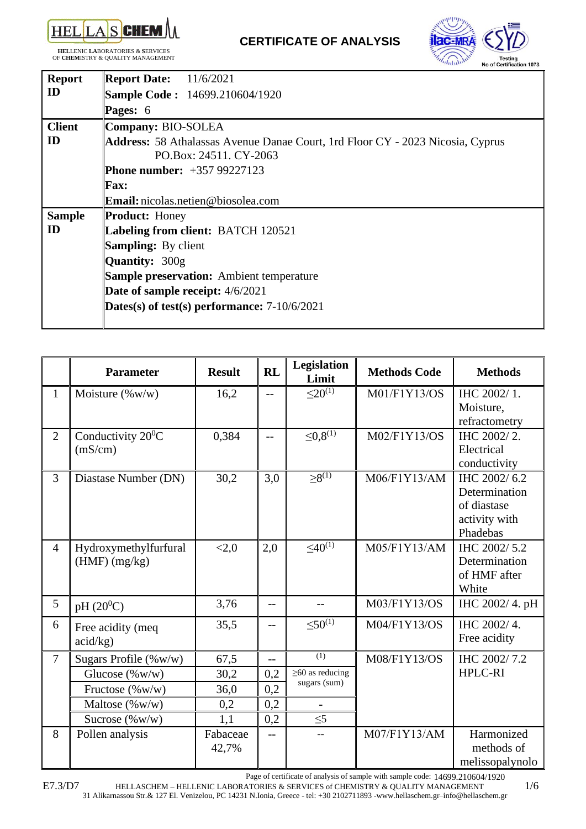

**HEL**LENIC **LA**BORATORIES & **S**ERVICES OF **CHEM**ISTRY & QUALITY MANAGEMENT



| <b>Report</b> | <b>Report Date:</b> 11/6/2021                                                         |
|---------------|---------------------------------------------------------------------------------------|
| ID            | <b>Sample Code: 14699.210604/1920</b>                                                 |
|               | Pages: 6                                                                              |
| <b>Client</b> | Company: BIO-SOLEA                                                                    |
| ID            | <b>Address:</b> 58 Athalassas Avenue Danae Court, 1rd Floor CY - 2023 Nicosia, Cyprus |
|               | PO.Box: 24511. CY-2063                                                                |
|               | <b>Phone number:</b> +357 99227123                                                    |
|               | <b>Fax:</b>                                                                           |
|               | <b>Email:</b> nicolas.netien@biosolea.com                                             |
| <b>Sample</b> | <b>Product: Honey</b>                                                                 |
| ID            | Labeling from client: BATCH 120521                                                    |
|               | <b>Sampling:</b> By client                                                            |
|               | Quantity: 300g                                                                        |
|               | <b>Sample preservation:</b> Ambient temperature                                       |
|               | Date of sample receipt: 4/6/2021                                                      |
|               | Dates(s) of test(s) performance: $7-10/6/2021$                                        |
|               |                                                                                       |

|                | <b>Parameter</b>      | <b>Result</b> | <b>RL</b> | <b>Legislation</b><br>Limit           | <b>Methods Code</b> | <b>Methods</b>               |
|----------------|-----------------------|---------------|-----------|---------------------------------------|---------------------|------------------------------|
| 1              | Moisture $(\%w/w)$    | 16,2          | $-$       | $\leq 20^{(1)}$                       | M01/F1Y13/OS        | IHC 2002/1.                  |
|                |                       |               |           |                                       |                     | Moisture,                    |
| $\overline{2}$ | Conductivity $20^0C$  | 0,384         |           | $\leq 0,8^{(1)}$                      | M02/F1Y13/OS        | refractometry<br>IHC 2002/2. |
|                | (mS/cm)               |               | $-$       |                                       |                     | Electrical                   |
|                |                       |               |           |                                       |                     | conductivity                 |
| 3              | Diastase Number (DN)  | 30,2          | 3,0       | $>8^{(1)}$                            | M06/F1Y13/AM        | IHC 2002/6.2                 |
|                |                       |               |           |                                       |                     | Determination                |
|                |                       |               |           |                                       |                     | of diastase                  |
|                |                       |               |           |                                       |                     | activity with<br>Phadebas    |
| $\overline{4}$ | Hydroxymethylfurfural | < 2, 0        | 2,0       | $\leq 40^{(1)}$                       | M05/F1Y13/AM        | IHC 2002/5.2                 |
|                | $(HMF)$ (mg/kg)       |               |           |                                       |                     | Determination                |
|                |                       |               |           |                                       |                     | of HMF after                 |
|                |                       |               |           |                                       |                     | White                        |
| 5              | $pH(20^0C)$           | 3,76          | $-$       | --                                    | M03/F1Y13/OS        | IHC 2002/ 4. pH              |
| 6              | Free acidity (meq     | 35,5          | $-$       | $\leq 50^{(1)}$                       | M04/F1Y13/OS        | IHC 2002/4.                  |
|                | acid/kg)              |               |           |                                       |                     | Free acidity                 |
| 7              | Sugars Profile (%w/w) | 67,5          | $-$       | (1)                                   | M08/F1Y13/OS        | IHC 2002/7.2                 |
|                | Glucose $(\%w/w)$     | 30,2          | 0,2       | $\geq 60$ as reducing<br>sugars (sum) |                     | <b>HPLC-RI</b>               |
|                | Fructose (%w/w)       | 36,0          | 0,2       |                                       |                     |                              |
|                | Maltose $(\%w/w)$     | 0,2           | 0,2       |                                       |                     |                              |
|                | Sucrose $(\%w/w)$     | 1,1           | 0,2       | $\leq 5$                              |                     |                              |
| 8              | Pollen analysis       | Fabaceae      |           | --                                    | M07/F1Y13/AM        | Harmonized                   |
|                |                       | 42,7%         |           |                                       |                     | methods of                   |
|                |                       |               |           |                                       |                     | melissopalynolo              |

Page of certificate of analysis of sample with sample code: 14699.210604/1920

HELLASCHEM – HELLENIC LABORATORIES & SERVICES of CHEMISTRY & QUALITY MANAGEMENT 1/6 31 Alikarnassou Str.& 127 El. Venizelou, PC 14231 N.Ionia, Greece - tel: +30 2102711893 -www.hellaschem.gr–info@hellaschem.gr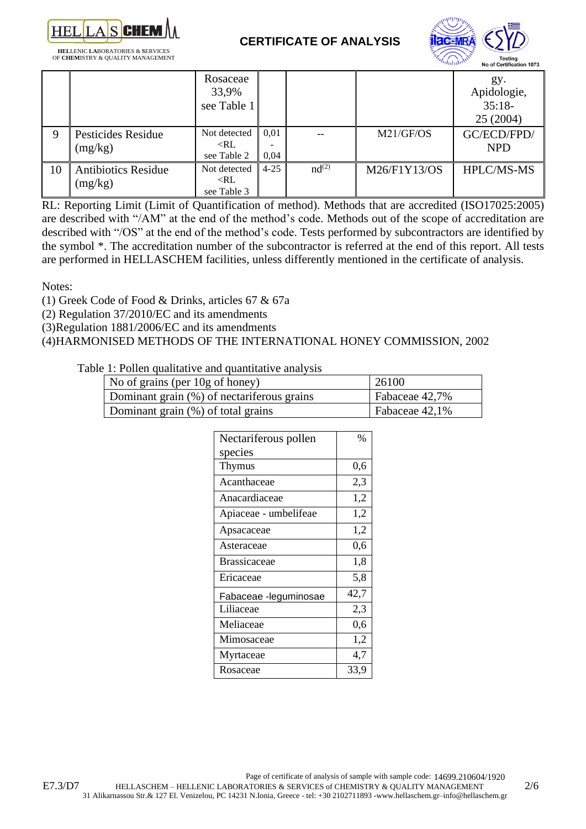



| <b>HELLENIC LABORATORIES &amp; SERVICES</b> |  |
|---------------------------------------------|--|
| OF <b>CHEM</b> ISTRY & QUALITY MANAGEMENT   |  |

|    |                                       | Rosaceae<br>33,9%<br>see Table 1                           |              |                   |              | gy.<br>Apidologie,<br>$35:18-$<br>25 (2004) |
|----|---------------------------------------|------------------------------------------------------------|--------------|-------------------|--------------|---------------------------------------------|
| 9  | Pesticides Residue<br>(mg/kg)         | Not detected<br>$\langle RL \rangle$<br>see Table 2        | 0,01<br>0,04 |                   | M21/GF/OS    | GC/ECD/FPD/<br><b>NPD</b>                   |
| 10 | <b>Antibiotics Residue</b><br>(mg/kg) | Not detected<br>$\langle \text{RL} \rangle$<br>see Table 3 | $4 - 25$     | nd <sup>(2)</sup> | M26/F1Y13/OS | <b>HPLC/MS-MS</b>                           |

RL: Reporting Limit (Limit of Quantification of method). Methods that are accredited (ISO17025:2005) are described with "/AM" at the end of the method's code. Methods out of the scope of accreditation are described with "/OS" at the end of the method's code. Tests performed by subcontractors are identified by the symbol \*. The accreditation number of the subcontractor is referred at the end of this report. All tests are performed in HELLASCHEM facilities, unless differently mentioned in the certificate of analysis.

Notes:

(1) Greek Code of Food & Drinks, articles 67 & 67a

(2) Regulation 37/2010/EC and its amendments

(3)Regulation 1881/2006/EC and its amendments

(4)HARMONISED METHODS OF THE INTERNATIONAL HONEY COMMISSION, 2002

Table 1: Pollen qualitative and quantitative analysis

| No of grains (per $10g$ of honey)          | 26100             |
|--------------------------------------------|-------------------|
| Dominant grain (%) of nectariferous grains | Fabaceae 42,7%    |
| Dominant grain (%) of total grains         | Fabaceae $42,1\%$ |

| Nectariferous pollen  | $\frac{0}{0}$ |
|-----------------------|---------------|
| species               |               |
| Thymus                | 0,6           |
| Acanthaceae           | 2,3           |
| Anacardiaceae         | 1,2           |
| Apiaceae - umbelifeae | 1,2           |
| Apsacaceae            | 1,2           |
| Asteraceae            | 0,6           |
| <b>Brassicaceae</b>   | 1,8           |
| Ericaceae             | 5,8           |
| Fabaceae -leguminosae | 42,7          |
| Liliaceae             | 2,3           |
| Meliaceae             | 0,6           |
| Mimosaceae            | 1,2           |
| Myrtaceae             | 4,7           |
| Rosaceae              | 33,9          |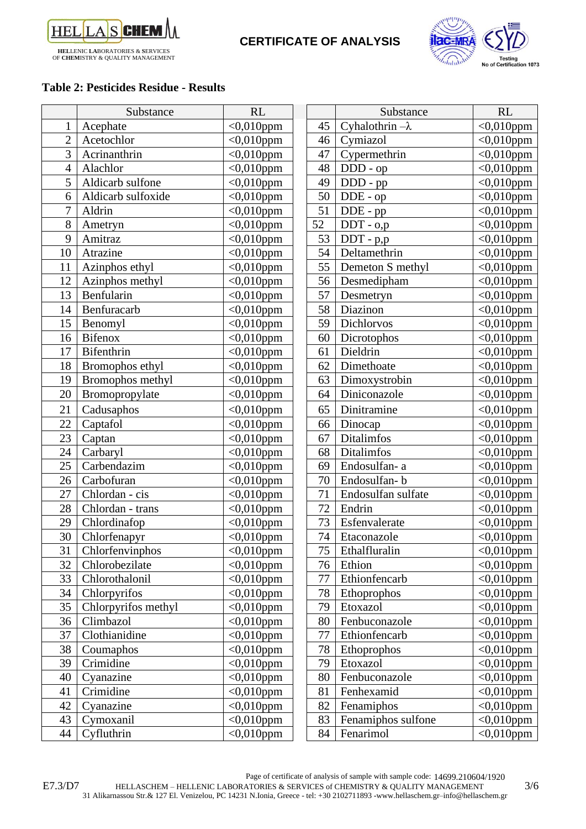



#### **Table 2: Pesticides Residue - Results**

|                | Substance           | <b>RL</b>          |    | Substance              | <b>RL</b>               |
|----------------|---------------------|--------------------|----|------------------------|-------------------------|
|                | Acephate            | $<0,010$ ppm       | 45 | Cyhalothrin $-\lambda$ | $\sqrt{0.010}$ ppm      |
| $\overline{2}$ | Acetochlor          | $<0,010$ ppm       | 46 | Cymiazol               | $<0,010$ ppm            |
| 3              | Acrinanthrin        | $<0,010$ ppm       | 47 | Cypermethrin           | $<0,010$ ppm            |
| $\overline{4}$ | Alachlor            | $<0,010$ ppm       | 48 | DDD - op               | $<0,010$ ppm            |
| 5              | Aldicarb sulfone    | $<0,010$ ppm       | 49 | DDD - pp               | $<0,010$ ppm            |
| 6              | Aldicarb sulfoxide  | $<0,010$ ppm       | 50 | $DDE$ - $op$           | $<$ 0,010ppm            |
| 7              | Aldrin              | $\sqrt{0.010}$ ppm | 51 | DDE - pp               | $\overline{<}0,010$ ppm |
| 8              | Ametryn             | $<0,010$ ppm       | 52 | DDT - 0,p              | $<0,010$ ppm            |
| 9              | Amitraz             | $<0.010$ ppm       | 53 | $DDT - p,p$            | $<0,010$ ppm            |
| 10             | Atrazine            | $<0,010$ ppm       | 54 | Deltamethrin           | $<0,010$ ppm            |
| 11             | Azinphos ethyl      | $<0,010$ ppm       | 55 | Demeton S methyl       | $<0,010$ ppm            |
| 12             | Azinphos methyl     | $<0,010$ ppm       | 56 | Desmedipham            | $<$ 0,010ppm            |
| 13             | Benfularin          | $<0,010$ ppm       | 57 | Desmetryn              | $<0,010$ ppm            |
| 14             | Benfuracarb         | $<0,010$ ppm       | 58 | Diazinon               | $<0,010$ ppm            |
| 15             | Benomyl             | $<0.010$ ppm       | 59 | Dichlorvos             | $<0,010$ ppm            |
| 16             | Bifenox             | $<0,010$ ppm       | 60 | Dicrotophos            | $<0,010$ ppm            |
| 17             | Bifenthrin          | $<0,010$ ppm       | 61 | Dieldrin               | $<$ 0,010ppm            |
| 18             | Bromophos ethyl     | $<0,010$ ppm       | 62 | Dimethoate             | $<0,010$ ppm            |
| 19             | Bromophos methyl    | $<0,010$ ppm       | 63 | Dimoxystrobin          | $<$ 0,010ppm            |
| 20             | Bromopropylate      | $<0,010$ ppm       | 64 | Diniconazole           | $<$ 0,010ppm            |
| 21             | Cadusaphos          | $<0,010$ ppm       | 65 | Dinitramine            | $<0,010$ ppm            |
| 22             | Captafol            | $<0,010$ ppm       | 66 | Dinocap                | $<0,010$ ppm            |
| 23             | Captan              | $<0,010$ ppm       | 67 | Ditalimfos             | $<$ 0,010ppm            |
| 24             | Carbaryl            | $<0,010$ ppm       | 68 | Ditalimfos             | $\overline{<}0,010$ ppm |
| 25             | Carbendazim         | $<0,010$ ppm       | 69 | Endosulfan-a           | $<0,010$ ppm            |
| 26             | Carbofuran          | $<0,010$ ppm       | 70 | Endosulfan-b           | $<$ 0,010ppm            |
| 27             | Chlordan - cis      | $<$ 0,010ppm       | 71 | Endosulfan sulfate     | $<$ 0,010ppm            |
| 28             | Chlordan - trans    | $<$ 0,010ppm       | 72 | Endrin                 | $<0,010$ ppm            |
| 29             | Chlordinafop        | $<0,010$ ppm       | 73 | Esfenvalerate          | $<0,010$ ppm            |
| 30             | Chlorfenapyr        | $<$ 0,010ppm       | 74 | Etaconazole            | $<0,010$ ppm            |
| 31             | Chlorfenvinphos     | $<0,010$ ppm       | 75 | Ethalfluralin          | $<0,010$ ppm            |
| 32             | Chlorobezilate      | $<0,010$ ppm       | 76 | Ethion                 | $<0,010$ ppm            |
| 33             | Chlorothalonil      | $<0,010$ ppm       | 77 | Ethionfencarb          | $<0,010$ ppm            |
| 34             | Chlorpyrifos        | $<0,010$ ppm       | 78 | Ethoprophos            | $<0,010$ ppm            |
| 35             | Chlorpyrifos methyl | $<0,010$ ppm       | 79 | Etoxazol               | $<0,010$ ppm            |
| 36             | Climbazol           | $<0,010$ ppm       | 80 | Fenbuconazole          | $<0.010$ ppm            |
| 37             | Clothianidine       | $<0,010$ ppm       | 77 | Ethionfencarb          | $<0,010$ ppm            |
| 38             | Coumaphos           | $<0,010$ ppm       | 78 | Ethoprophos            | $<0,010$ ppm            |
| 39             | Crimidine           | $<0,010$ ppm       | 79 | Etoxazol               | $<0,010$ ppm            |
| 40             | Cyanazine           | $<0,010$ ppm       | 80 | Fenbuconazole          | $<0,010$ ppm            |
| 41             | Crimidine           | $<0,010$ ppm       | 81 | Fenhexamid             | $<0,010$ ppm            |
| 42             | Cyanazine           | $<0,010$ ppm       | 82 | Fenamiphos             | $<0,010$ ppm            |
| 43             | Cymoxanil           | $<0,010$ ppm       | 83 | Fenamiphos sulfone     | $<0,010$ ppm            |
| 44             | Cyfluthrin          | $<0,010$ ppm       | 84 | Fenarimol              | $<0,010$ ppm            |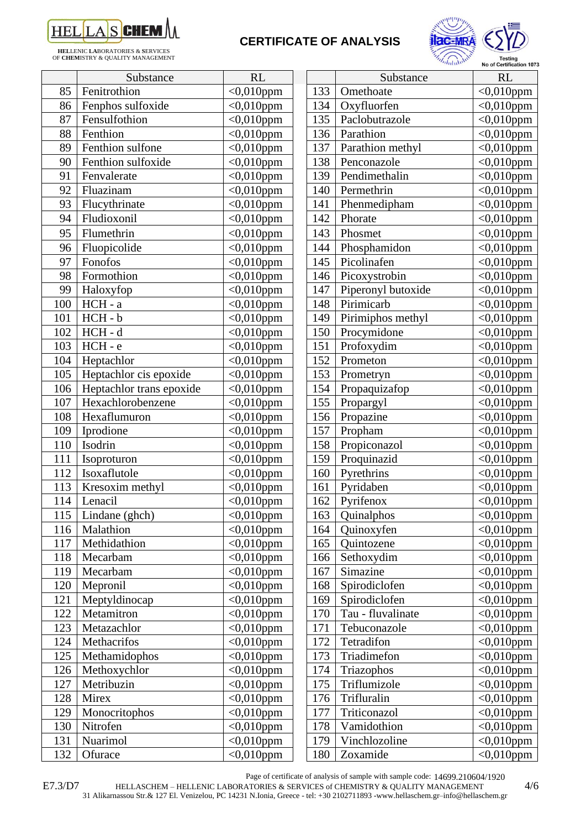

**HEL**LENIC **LA**BORATORIES & **S**ERVICES OF **CHEM**ISTRY & QUALITY MANAGEMENT

## **CERTIFICATE OF ANALYSIS**



|     | Substance                | RL           |     | Substance          | <b>RL</b>               |
|-----|--------------------------|--------------|-----|--------------------|-------------------------|
| 85  | Fenitrothion             | $<0,010$ ppm | 133 | Omethoate          | $<$ 0,010ppm            |
| 86  | Fenphos sulfoxide        | $<0,010$ ppm | 134 | Oxyfluorfen        | $<0.010$ ppm            |
| 87  | Fensulfothion            | $<$ 0,010ppm | 135 | Paclobutrazole     | $<$ 0,010ppm            |
| 88  | Fenthion                 | $<0,010$ ppm | 136 | Parathion          | $<$ 0,010ppm            |
| 89  | Fenthion sulfone         | $<0,010$ ppm | 137 | Parathion methyl   | $<$ 0,010ppm            |
| 90  | Fenthion sulfoxide       | $<0,010$ ppm | 138 | Penconazole        | $<$ 0,010ppm            |
| 91  | Fenvalerate              | $<0,010$ ppm | 139 | Pendimethalin      | $<0.010$ ppm            |
| 92  | Fluazinam                | $<0,010$ ppm | 140 | Permethrin         | $<$ 0,010ppm            |
| 93  | Flucythrinate            | $<0,010$ ppm | 141 | Phenmedipham       | $<0,010$ ppm            |
| 94  | Fludioxonil              | $<0,010$ ppm | 142 | Phorate            | $< 0,010$ ppm           |
| 95  | Flumethrin               | $<0,010$ ppm | 143 | Phosmet            | $<$ 0,010ppm            |
| 96  | Fluopicolide             | $<0,010$ ppm | 144 | Phosphamidon       | $<0.010$ ppm            |
| 97  | Fonofos                  | $<0.010$ ppm | 145 | Picolinafen        | $<$ 0,010ppm            |
| 98  | Formothion               | $<0,010$ ppm | 146 | Picoxystrobin      | $<$ 0,010ppm            |
| 99  | Haloxyfop                | $<0,010$ ppm | 147 | Piperonyl butoxide | $\sqrt{0.010}$ ppm      |
| 100 | HCH - a                  | $<0,010$ ppm | 148 | Pirimicarb         | $<0,010$ ppm            |
| 101 | HCH-b                    | $<0,010$ ppm | 149 | Pirimiphos methyl  | $<0,010$ ppm            |
| 102 | $HCH - d$                | $<0,010$ ppm | 150 | Procymidone        | $<$ 0,010ppm            |
| 103 | HCH-e                    | $<0,010$ ppm | 151 | Profoxydim         | $<$ 0,010ppm            |
| 104 | Heptachlor               | $<$ 0,010ppm | 152 | Prometon           | $<0,010$ ppm            |
| 105 | Heptachlor cis epoxide   | $<0,010$ ppm | 153 | Prometryn          | $<$ 0,010ppm            |
| 106 | Heptachlor trans epoxide | $<0,010$ ppm | 154 | Propaquizafop      | $<0,010$ ppm            |
| 107 | Hexachlorobenzene        | $<0,010$ ppm | 155 | Propargyl          | $<$ 0,010ppm            |
| 108 | Hexaflumuron             | $<0,010$ ppm | 156 | Propazine          | $<$ 0,010ppm            |
| 109 | Iprodione                | $<0,010$ ppm | 157 | Propham            | $<0,010$ ppm            |
| 110 | Isodrin                  | $<0,010$ ppm | 158 | Propiconazol       | $<$ 0,010ppm            |
| 111 | Isoproturon              | $<$ 0,010ppm | 159 | Proquinazid        | $<$ 0,010ppm            |
| 112 | Isoxaflutole             | $<0,010$ ppm | 160 | Pyrethrins         | $\sqrt{0.010}$ ppm      |
| 113 | Kresoxim methyl          | $<0,010$ ppm | 161 | Pyridaben          | $<$ 0,010ppm            |
| 114 | Lenacil                  | $<0,010$ ppm | 162 | Pyrifenox          | $<0,010$ ppm            |
| 115 | Lindane (ghch)           | $<0,010$ ppm | 163 | Quinalphos         | $<$ 0,010ppm            |
| 116 | Malathion                | $<0,010$ ppm | 164 | Quinoxyfen         | $<0,010$ ppm            |
| 117 | Methidathion             | $<0,010$ ppm | 165 | Quintozene         | $<0,010$ ppm            |
| 118 | Mecarbam                 | $<0,010$ ppm | 166 | Sethoxydim         | $<0,010$ ppm            |
| 119 | Mecarbam                 | $<0,010$ ppm | 167 | Simazine           | $<0,010$ ppm            |
| 120 | Mepronil                 | $<0,010$ ppm | 168 | Spirodiclofen      | $\overline{<}0,010$ ppm |
| 121 | Meptyldinocap            | $<0,010$ ppm | 169 | Spirodiclofen      | $<0,010$ ppm            |
| 122 | Metamitron               | $<0.010$ ppm | 170 | Tau - fluvalinate  | $<0,010$ ppm            |
| 123 | Metazachlor              | $<0.010$ ppm | 171 | Tebuconazole       | $<0,010$ ppm            |
| 124 | Methacrifos              | $<0,010$ ppm | 172 | Tetradifon         | $<0,010$ ppm            |
| 125 | Methamidophos            | $<0,010$ ppm | 173 | Triadimefon        | $<$ 0,010ppm            |
| 126 | Methoxychlor             | $<0,010$ ppm | 174 | Triazophos         | $<0,010$ ppm            |
| 127 | Metribuzin               | $<0,010$ ppm | 175 | Triflumizole       | $<0.010$ ppm            |
| 128 | Mirex                    | $<0,010$ ppm | 176 | Trifluralin        | $<0,010$ ppm            |
| 129 | Monocritophos            | $<0,010$ ppm | 177 | Triticonazol       | $<$ 0,010ppm            |
| 130 | Nitrofen                 | $<0,010$ ppm | 178 | Vamidothion        | $<0,010$ ppm            |
| 131 | Nuarimol                 | $<0,010$ ppm | 179 | Vinchlozoline      | $<$ 0,010ppm            |
| 132 | Ofurace                  | $<0,010$ ppm | 180 | Zoxamide           | $<0,010$ ppm            |

|     | <i>antiburg</i>    | No of Certification 1073 |
|-----|--------------------|--------------------------|
|     | Substance          | <b>RL</b>                |
| 133 | Omethoate          | $<$ 0,010ppm             |
| 134 | Oxyfluorfen        | $<0,010$ ppm             |
| 135 | Paclobutrazole     | $<$ 0,010ppm             |
| 136 | Parathion          | $<$ 0,010ppm             |
| 137 | Parathion methyl   | $<$ 0,010ppm             |
| 138 | Penconazole        | $<0,010$ ppm             |
| 139 | Pendimethalin      | $<$ 0,010ppm             |
| 140 | Permethrin         | $<$ 0,010ppm             |
| 141 | Phenmedipham       | $<0,010$ ppm             |
| 142 | Phorate            | $<$ 0,010ppm             |
| 143 | Phosmet            | $<0,010$ ppm             |
| 144 | Phosphamidon       | $<$ 0,010ppm             |
| 145 | Picolinafen        | $<$ 0,010ppm             |
| 146 | Picoxystrobin      | $<0,010$ ppm             |
| 147 | Piperonyl butoxide | $<0,010$ ppm             |
| 148 | Pirimicarb         | $<0,010$ ppm             |
| 149 | Pirimiphos methyl  | $<$ 0,010ppm             |
| 150 | Procymidone        | $<0,010$ ppm             |
| 151 | Profoxydim         | $<$ 0,010ppm             |
| 152 | Prometon           | $<$ 0,010ppm             |
| 153 | Prometryn          | $<$ 0,010ppm             |
| 154 | Propaquizafop      | $<$ 0,010ppm             |
| 155 | Propargyl          | $<$ 0,010ppm             |
| 156 | Propazine          | $<0,010$ ppm             |
| 157 | Propham            | $<$ 0,010ppm             |
| 158 | Propiconazol       | $<$ 0,010ppm             |
| 159 | Proquinazid        | $<0,010$ ppm             |
| 160 | Pyrethrins         | $<$ 0,010ppm             |
| 161 | Pyridaben          | $<$ 0,010ppm             |
| 162 | Pvrifenox          | $<0,010$ ppm             |
| 163 | Quinalphos         | $<$ 0,010ppm             |
| 164 | Quinoxyfen         | $<$ 0,010ppm             |
| 165 | Quintozene         | $<$ 0,010ppm             |
| 166 | Sethoxydim         | $<0,010$ ppm             |
| 167 | Simazine           | $<$ 0,010ppm             |
| 168 | Spirodiclofen      | $<0,010$ ppm             |
| 169 | Spirodiclofen      | $<0,010$ ppm             |
| 170 | Tau - fluvalinate  | $<$ 0,010ppm             |
| 171 | Tebuconazole       | $<0,010$ ppm             |
| 172 | Tetradifon         | $<0,010$ ppm             |
| 173 | Triadimefon        | $<0,010$ ppm             |
| 174 | Triazophos         | $<0,010$ ppm             |
| 175 | Triflumizole       | $<$ 0,010ppm             |
| 176 | Trifluralin        | $<0,010$ ppm             |
| 177 | Triticonazol       | $<$ 0,010ppm             |
| 178 | Vamidothion        | $<0,010$ ppm             |
| 179 | Vinchlozoline      | $< 0.010$ ppm            |

Page of certificate of analysis of sample with sample code: 14699.210604/1920

HELLASCHEM – HELLENIC LABORATORIES & SERVICES of CHEMISTRY & QUALITY MANAGEMENT 4/6

31 Alikarnassou Str.& 127 El. Venizelou, PC 14231 N.Ionia, Greece - tel: +30 2102711893 -www.hellaschem.gr–info@hellaschem.gr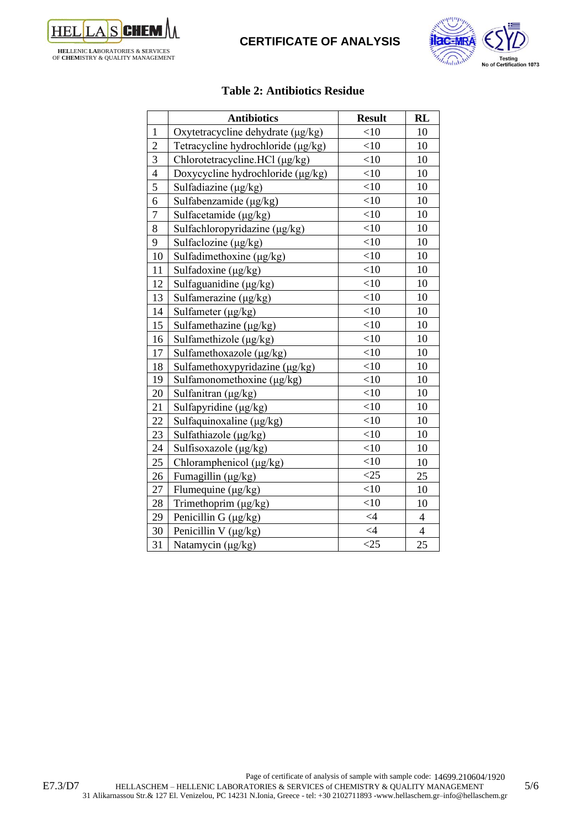



#### **Table 2: Antibiotics Residue**

|                | <b>Antibiotics</b>                 | <b>Result</b> | <b>RL</b>                |
|----------------|------------------------------------|---------------|--------------------------|
| $\mathbf{1}$   | Oxytetracycline dehydrate (µg/kg)  | $<$ 10        | 10                       |
| $\overline{2}$ | Tetracycline hydrochloride (µg/kg) | $<$ 10        | 10                       |
| $\overline{3}$ | Chlorotetracycline.HCl (μg/kg)     | $<$ 10        | 10                       |
| $\overline{4}$ | Doxycycline hydrochloride (µg/kg)  | <10           | 10                       |
| $\overline{5}$ | Sulfadiazine (µg/kg)               | $<$ 10        | 10                       |
| 6              | Sulfabenzamide (μg/kg)             | <10           | 10                       |
| $\overline{7}$ | Sulfacetamide $(\mu g/kg)$         | <10           | 10                       |
| 8              | Sulfachloropyridazine (μg/kg)      | $<$ 10        | 10                       |
| 9              | Sulfaclozine $(\mu g/kg)$          | $<$ 10        | 10                       |
| 10             | Sulfadimethoxine (μg/kg)           | <10           | 10                       |
| 11             | Sulfadoxine $(\mu g/kg)$           | $<$ 10        | 10                       |
| 12             | Sulfaguanidine (μg/kg)             | <10           | 10                       |
| 13             | Sulfamerazine (μg/kg)              | $<$ 10        | 10                       |
| 14             | Sulfameter $(\mu g/kg)$            | $<$ 10        | 10                       |
| 15             | Sulfamethazine (μg/kg)             | <10           | 10                       |
| 16             | Sulfamethizole (μg/kg)             | <10           | 10                       |
| 17             | Sulfamethoxazole (μg/kg)           | $<$ 10        | 10                       |
| 18             | Sulfamethoxypyridazine (μg/kg)     | <10           | 10                       |
| 19             | Sulfamonomethoxine (µg/kg)         | <10           | 10                       |
| 20             | Sulfanitran (µg/kg)                | $<$ 10        | 10                       |
| 21             | Sulfapyridine (μg/kg)              | $<$ 10        | 10                       |
| 22             | Sulfaquinoxaline (µg/kg)           | <10           | 10                       |
| 23             | Sulfathiazole (µg/kg)              | <10           | 10                       |
| 24             | Sulfisoxazole (µg/kg)              | $<$ 10        | 10                       |
| 25             | Chloramphenicol (µg/kg)            | <10           | 10                       |
| 26             | Fumagillin (μg/kg)                 | <25           | 25                       |
| 27             | Flumequine (µg/kg)                 | $<$ 10        | 10                       |
| 28             | Trimethoprim (µg/kg)               | $<$ 10        | 10                       |
| 29             | Penicillin G (µg/kg)               | $\leq 4$      | $\overline{\mathcal{L}}$ |
| 30             | Penicillin V (µg/kg)               | $\leq 4$      | $\overline{4}$           |
| 31             | Natamycin (µg/kg)                  | <25           | 25                       |